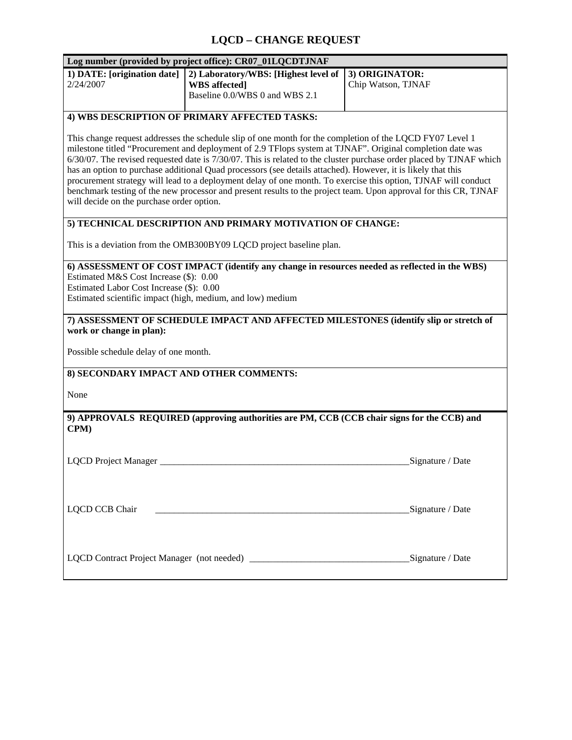## **LQCD – CHANGE REQUEST**

| Log number (provided by project office): CR07_01LQCDTJNAF                                                                                                                                                                                                                                                                                                                                                                                                                                                                                                                                                                                                                                                                                       |                                                                                                |                                      |
|-------------------------------------------------------------------------------------------------------------------------------------------------------------------------------------------------------------------------------------------------------------------------------------------------------------------------------------------------------------------------------------------------------------------------------------------------------------------------------------------------------------------------------------------------------------------------------------------------------------------------------------------------------------------------------------------------------------------------------------------------|------------------------------------------------------------------------------------------------|--------------------------------------|
| 1) DATE: [origination date]<br>2/24/2007                                                                                                                                                                                                                                                                                                                                                                                                                                                                                                                                                                                                                                                                                                        | 2) Laboratory/WBS: [Highest level of<br><b>WBS</b> affected]<br>Baseline 0.0/WBS 0 and WBS 2.1 | 3) ORIGINATOR:<br>Chip Watson, TJNAF |
| 4) WBS DESCRIPTION OF PRIMARY AFFECTED TASKS:                                                                                                                                                                                                                                                                                                                                                                                                                                                                                                                                                                                                                                                                                                   |                                                                                                |                                      |
| This change request addresses the schedule slip of one month for the completion of the LQCD FY07 Level 1<br>milestone titled "Procurement and deployment of 2.9 TFlops system at TJNAF". Original completion date was<br>6/30/07. The revised requested date is 7/30/07. This is related to the cluster purchase order placed by TJNAF which<br>has an option to purchase additional Quad processors (see details attached). However, it is likely that this<br>procurement strategy will lead to a deployment delay of one month. To exercise this option, TJNAF will conduct<br>benchmark testing of the new processor and present results to the project team. Upon approval for this CR, TJNAF<br>will decide on the purchase order option. |                                                                                                |                                      |
| 5) TECHNICAL DESCRIPTION AND PRIMARY MOTIVATION OF CHANGE:                                                                                                                                                                                                                                                                                                                                                                                                                                                                                                                                                                                                                                                                                      |                                                                                                |                                      |
| This is a deviation from the OMB300BY09 LQCD project baseline plan.                                                                                                                                                                                                                                                                                                                                                                                                                                                                                                                                                                                                                                                                             |                                                                                                |                                      |
| 6) ASSESSMENT OF COST IMPACT (identify any change in resources needed as reflected in the WBS)<br>Estimated M&S Cost Increase (\$): 0.00<br>Estimated Labor Cost Increase (\$): 0.00<br>Estimated scientific impact (high, medium, and low) medium<br>7) ASSESSMENT OF SCHEDULE IMPACT AND AFFECTED MILESTONES (identify slip or stretch of<br>work or change in plan):<br>Possible schedule delay of one month.<br>8) SECONDARY IMPACT AND OTHER COMMENTS:                                                                                                                                                                                                                                                                                     |                                                                                                |                                      |
| None                                                                                                                                                                                                                                                                                                                                                                                                                                                                                                                                                                                                                                                                                                                                            |                                                                                                |                                      |
| 9) APPROVALS REQUIRED (approving authorities are PM, CCB (CCB chair signs for the CCB) and<br>CPM)                                                                                                                                                                                                                                                                                                                                                                                                                                                                                                                                                                                                                                              |                                                                                                |                                      |
| LQCD Project Manager                                                                                                                                                                                                                                                                                                                                                                                                                                                                                                                                                                                                                                                                                                                            |                                                                                                | Signature / Date                     |
| LQCD CCB Chair                                                                                                                                                                                                                                                                                                                                                                                                                                                                                                                                                                                                                                                                                                                                  |                                                                                                | Signature / Date                     |
|                                                                                                                                                                                                                                                                                                                                                                                                                                                                                                                                                                                                                                                                                                                                                 |                                                                                                |                                      |